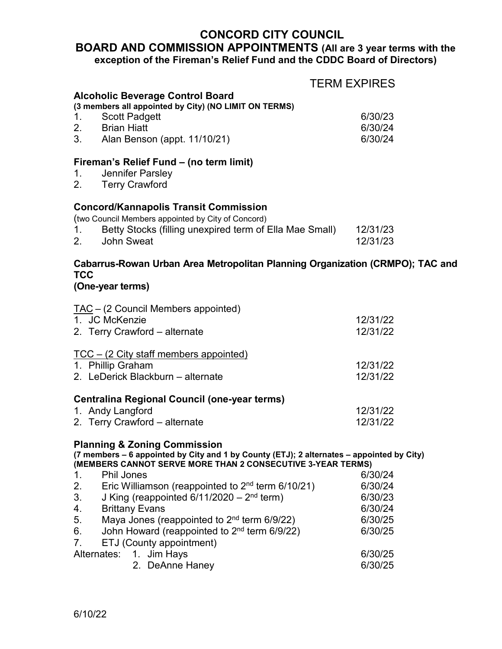## **CONCORD CITY COUNCIL**

## **BOARD AND COMMISSION APPOINTMENTS (All are 3 year terms with the exception of the Fireman's Relief Fund and the CDDC Board of Directors)**

| <b>TERM EXPIRES</b>                                                                                                                                                                                                             |                                                     |
|---------------------------------------------------------------------------------------------------------------------------------------------------------------------------------------------------------------------------------|-----------------------------------------------------|
| <b>Alcoholic Beverage Control Board</b><br>(3 members all appointed by City) (NO LIMIT ON TERMS)<br><b>Scott Padgett</b><br>1.<br>2. Brian Hiatt<br>3. Alan Benson (appt. 11/10/21)                                             | 6/30/23<br>6/30/24<br>6/30/24                       |
| Fireman's Relief Fund – (no term limit)<br>1.<br>Jennifer Parsley<br><b>Terry Crawford</b>                                                                                                                                      |                                                     |
| <b>Concord/Kannapolis Transit Commission</b><br>(two Council Members appointed by City of Concord)<br>Betty Stocks (filling unexpired term of Ella Mae Small)<br>1.<br>2.<br><b>John Sweat</b>                                  | 12/31/23<br>12/31/23                                |
| Cabarrus-Rowan Urban Area Metropolitan Planning Organization (CRMPO); TAC and<br>TCC<br>(One-year terms)                                                                                                                        |                                                     |
| TAC - (2 Council Members appointed)<br>1. JC McKenzie<br>2. Terry Crawford - alternate                                                                                                                                          | 12/31/22<br>12/31/22                                |
| TCC - (2 City staff members appointed)<br>1. Phillip Graham<br>2. LeDerick Blackburn - alternate                                                                                                                                | 12/31/22<br>12/31/22                                |
| <b>Centralina Regional Council (one-year terms)</b><br>1. Andy Langford<br>2. Terry Crawford - alternate                                                                                                                        | 12/31/22<br>12/31/22                                |
| <b>Planning &amp; Zoning Commission</b><br>(7 members – 6 appointed by City and 1 by County (ETJ); 2 alternates – appointed by City)<br>(MEMBERS CANNOT SERVE MORE THAN 2 CONSECUTIVE 3-YEAR TERMS)                             |                                                     |
| <b>Phil Jones</b><br>1.<br>Eric Williamson (reappointed to $2nd$ term 6/10/21)<br>2.<br>J King (reappointed $6/11/2020 - 2nd$ term)<br>3.<br><b>Brittany Evans</b><br>4.<br>Maya Jones (reappointed to $2nd$ term 6/9/22)<br>5. | 6/30/24<br>6/30/24<br>6/30/23<br>6/30/24<br>6/30/25 |
| John Howard (reappointed to 2 <sup>nd</sup> term 6/9/22)<br>6.<br>7.<br>ETJ (County appointment)<br>Alternates:<br>1. Jim Hays                                                                                                  | 6/30/25<br>6/30/25                                  |
| 2. DeAnne Haney                                                                                                                                                                                                                 | 6/30/25                                             |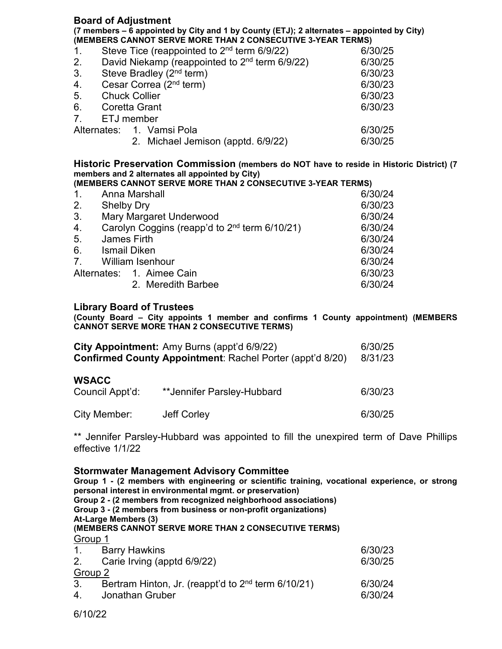#### **Board of Adjustment**

**(7 members – 6 appointed by City and 1 by County (ETJ); 2 alternates – appointed by City) (MEMBERS CANNOT SERVE MORE THAN 2 CONSECUTIVE 3-YEAR TERMS)**

| 1.             | Steve Tice (reappointed to 2 <sup>nd</sup> term 6/9/22)    | 6/30/25 |
|----------------|------------------------------------------------------------|---------|
| 2.             | David Niekamp (reappointed to 2 <sup>nd</sup> term 6/9/22) | 6/30/25 |
| 3.             | Steve Bradley $(2nd$ term)                                 | 6/30/23 |
| 4.             | Cesar Correa (2 <sup>nd</sup> term)                        | 6/30/23 |
| 5.             | <b>Chuck Collier</b>                                       | 6/30/23 |
| 6.             | Coretta Grant                                              | 6/30/23 |
| 7 <sub>1</sub> | ETJ member                                                 |         |
|                | Alternates: 1. Vamsi Pola                                  | 6/30/25 |
|                | 2. Michael Jemison (apptd. 6/9/22)                         | 6/30/25 |

**Historic Preservation Commission (members do NOT have to reside in Historic District) (7 members and 2 alternates all appointed by City)**

| (MEMBERS CANNOT SERVE MORE THAN 2 CONSECUTIVE 3-YEAR TERMS) |                                                           |         |  |
|-------------------------------------------------------------|-----------------------------------------------------------|---------|--|
| 1.                                                          | Anna Marshall                                             | 6/30/24 |  |
| 2.                                                          | <b>Shelby Dry</b>                                         | 6/30/23 |  |
| 3 <sub>1</sub>                                              | <b>Mary Margaret Underwood</b>                            | 6/30/24 |  |
| 4.                                                          | Carolyn Coggins (reapp'd to 2 <sup>nd</sup> term 6/10/21) | 6/30/24 |  |
| 5 <sub>1</sub>                                              | James Firth                                               | 6/30/24 |  |
| 6.                                                          | Ismail Diken                                              | 6/30/24 |  |
| 7 <sub>1</sub>                                              | <b>William Isenhour</b>                                   | 6/30/24 |  |
|                                                             | Alternates: 1. Aimee Cain                                 | 6/30/23 |  |
|                                                             | 2. Meredith Barbee                                        | 6/30/24 |  |

#### **Library Board of Trustees**

**(County Board – City appoints 1 member and confirms 1 County appointment) (MEMBERS CANNOT SERVE MORE THAN 2 CONSECUTIVE TERMS)**

|                                 | City Appointment: Amy Burns (appt'd 6/9/22)<br><b>Confirmed County Appointment: Rachel Porter (appt'd 8/20)</b> | 6/30/25<br>8/31/23 |
|---------------------------------|-----------------------------------------------------------------------------------------------------------------|--------------------|
| <b>WSACC</b><br>Council Appt'd: | **Jennifer Parsley-Hubbard                                                                                      | 6/30/23            |
| City Member:                    | Jeff Corley                                                                                                     | 6/30/25            |

\*\* Jennifer Parsley-Hubbard was appointed to fill the unexpired term of Dave Phillips effective 1/1/22

#### **Stormwater Management Advisory Committee**

**Group 1 - (2 members with engineering or scientific training, vocational experience, or strong personal interest in environmental mgmt. or preservation) Group 2 - (2 members from recognized neighborhood associations) Group 3 - (2 members from business or non-profit organizations) At-Large Members (3) (MEMBERS CANNOT SERVE MORE THAN 2 CONSECUTIVE TERMS)** Group 1 1. Barry Hawkins 6/30/23 2. Carie Irving (apptd 6/9/22) 6/30/25  $rac{\text{Group } 2}{3}$ Bertram Hinton, Jr. (reappt'd to  $2<sup>nd</sup>$  term 6/10/21) 6/30/24 4. Jonathan Gruber 6/30/24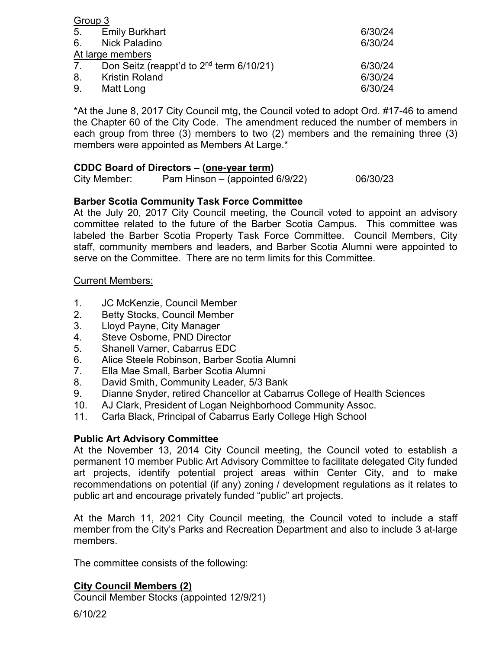| Group 3 |                                                      |         |
|---------|------------------------------------------------------|---------|
|         | 5. Emily Burkhart                                    | 6/30/24 |
|         | 6. Nick Paladino                                     | 6/30/24 |
|         | At large members                                     |         |
| 7.      | Don Seitz (reappt'd to 2 <sup>nd</sup> term 6/10/21) | 6/30/24 |
|         | 8. Kristin Roland                                    | 6/30/24 |
| 9.      | Matt Long                                            | 6/30/24 |

\*At the June 8, 2017 City Council mtg, the Council voted to adopt Ord. #17-46 to amend the Chapter 60 of the City Code. The amendment reduced the number of members in each group from three (3) members to two (2) members and the remaining three (3) members were appointed as Members At Large.\*

#### **CDDC Board of Directors – (one-year term)**

City Member: Pam Hinson – (appointed  $6/9/22$ ) 06/30/23

#### **Barber Scotia Community Task Force Committee**

At the July 20, 2017 City Council meeting, the Council voted to appoint an advisory committee related to the future of the Barber Scotia Campus. This committee was labeled the Barber Scotia Property Task Force Committee. Council Members, City staff, community members and leaders, and Barber Scotia Alumni were appointed to serve on the Committee. There are no term limits for this Committee.

#### Current Members:

- 1. JC McKenzie, Council Member
- 2. Betty Stocks, Council Member
- 3. Lloyd Payne, City Manager
- 4. Steve Osborne, PND Director
- 5. Shanell Varner, Cabarrus EDC
- 6. Alice Steele Robinson, Barber Scotia Alumni
- 7. Ella Mae Small, Barber Scotia Alumni
- 8. David Smith, Community Leader, 5/3 Bank
- 9. Dianne Snyder, retired Chancellor at Cabarrus College of Health Sciences
- 10. AJ Clark, President of Logan Neighborhood Community Assoc.
- 11. Carla Black, Principal of Cabarrus Early College High School

#### **Public Art Advisory Committee**

At the November 13, 2014 City Council meeting, the Council voted to establish a permanent 10 member Public Art Advisory Committee to facilitate delegated City funded art projects, identify potential project areas within Center City, and to make recommendations on potential (if any) zoning / development regulations as it relates to public art and encourage privately funded "public" art projects.

At the March 11, 2021 City Council meeting, the Council voted to include a staff member from the City's Parks and Recreation Department and also to include 3 at-large members.

The committee consists of the following:

## **City Council Members (2)**

Council Member Stocks (appointed 12/9/21)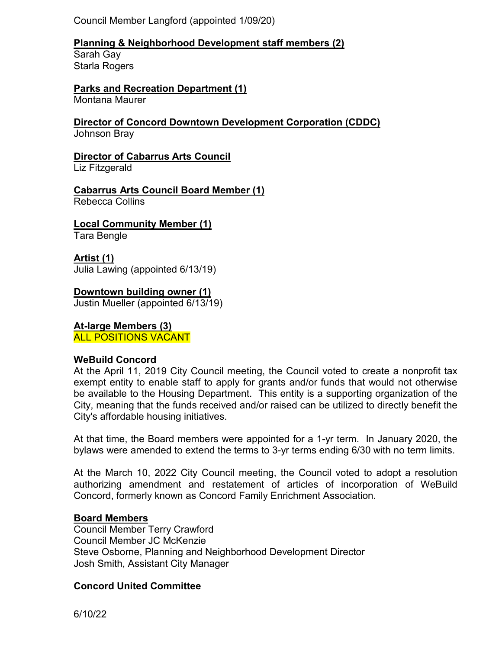Council Member Langford (appointed 1/09/20)

## **Planning & Neighborhood Development staff members (2)**

Sarah Gay Starla Rogers

# **Parks and Recreation Department (1)**

Montana Maurer

#### **Director of Concord Downtown Development Corporation (CDDC)** Johnson Bray

# **Director of Cabarrus Arts Council**

Liz Fitzgerald

## **Cabarrus Arts Council Board Member (1)**

Rebecca Collins

## **Local Community Member (1)**

Tara Bengle

## **Artist (1)**

Julia Lawing (appointed 6/13/19)

## **Downtown building owner (1)**

Justin Mueller (appointed 6/13/19)

# **At-large Members (3)**

ALL POSITIONS VACANT

## **WeBuild Concord**

At the April 11, 2019 City Council meeting, the Council voted to create a nonprofit tax exempt entity to enable staff to apply for grants and/or funds that would not otherwise be available to the Housing Department. This entity is a supporting organization of the City, meaning that the funds received and/or raised can be utilized to directly benefit the City's affordable housing initiatives.

At that time, the Board members were appointed for a 1-yr term. In January 2020, the bylaws were amended to extend the terms to 3-yr terms ending 6/30 with no term limits.

At the March 10, 2022 City Council meeting, the Council voted to adopt a resolution authorizing amendment and restatement of articles of incorporation of WeBuild Concord, formerly known as Concord Family Enrichment Association.

#### **Board Members**

Council Member Terry Crawford Council Member JC McKenzie Steve Osborne, Planning and Neighborhood Development Director Josh Smith, Assistant City Manager

## **Concord United Committee**

6/10/22